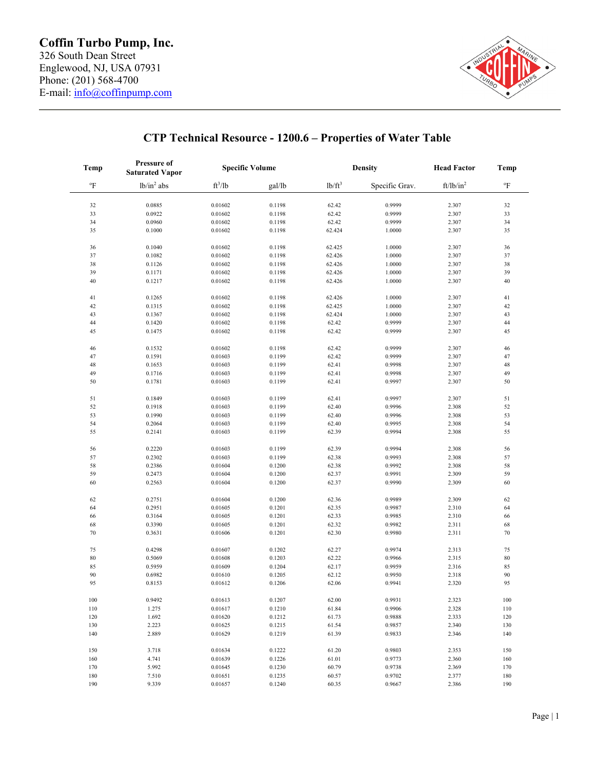

| <b>Temp</b><br>$^{\mathrm{o}}\mathrm{F}$ | <b>Pressure of</b><br><b>Saturated Vapor</b><br>$lb/in^2$ abs | <b>Specific Volume</b> |                  | <b>Density</b> |                  | <b>Head Factor</b> | Temp                      |
|------------------------------------------|---------------------------------------------------------------|------------------------|------------------|----------------|------------------|--------------------|---------------------------|
|                                          |                                                               | $ft^3/lb$              | gal/lb           | $lb/ft^3$      | Specific Grav.   | $ft/lb/in^2$       | $^{\mathrm{o}}\mathrm{F}$ |
|                                          |                                                               |                        |                  |                |                  |                    |                           |
| $32\,$                                   | 0.0885                                                        | 0.01602                | 0.1198           | 62.42          | 0.9999           | 2.307              | 32                        |
| 33                                       | 0.0922                                                        | 0.01602                | 0.1198           | 62.42          | 0.9999           | 2.307              | 33                        |
| 34                                       | 0.0960                                                        | 0.01602                | 0.1198           | 62.42          | 0.9999           | 2.307              | 34                        |
| 35                                       | 0.1000                                                        | 0.01602                | 0.1198           | 62.424         | 1.0000           | 2.307              | 35                        |
| 36                                       | 0.1040                                                        | 0.01602                | 0.1198           | 62.425         | 1.0000           | 2.307              | 36                        |
| 37                                       | 0.1082                                                        | 0.01602                | 0.1198           | 62.426         | 1.0000           | 2.307              | 37                        |
| 38                                       | 0.1126                                                        | 0.01602                | 0.1198           | 62.426         | 1.0000           | 2.307              | 38                        |
| 39                                       | 0.1171                                                        | 0.01602                | 0.1198           | 62.426         | 1.0000           | 2.307              | 39                        |
| 40                                       | 0.1217                                                        | 0.01602                | 0.1198           | 62.426         | 1.0000           | 2.307              | 40                        |
| 41                                       | 0.1265                                                        | 0.01602                | 0.1198           | 62.426         | 1.0000           | 2.307              | 41                        |
| 42                                       | 0.1315                                                        | 0.01602                | 0.1198           | 62.425         | 1.0000           | 2.307              | 42                        |
| 43                                       | 0.1367                                                        | 0.01602                | 0.1198           | 62.424         | 1.0000           | 2.307              | 43                        |
| 44                                       | 0.1420                                                        | 0.01602                | 0.1198           | 62.42          | 0.9999           | 2.307              | 44                        |
| 45                                       | 0.1475                                                        | 0.01602                | 0.1198           | 62.42          | 0.9999           | 2.307              | 45                        |
|                                          |                                                               |                        |                  |                |                  |                    |                           |
| 46                                       | 0.1532                                                        | 0.01602                | 0.1198           | 62.42          | 0.9999           | 2.307              | 46                        |
| 47                                       | 0.1591                                                        | 0.01603                | 0.1199           | 62.42          | 0.9999           | 2.307              | 47                        |
| 48                                       | 0.1653                                                        | 0.01603                | 0.1199           | 62.41          | 0.9998           | 2.307              | 48                        |
| 49                                       | 0.1716                                                        | 0.01603                | 0.1199           | 62.41          | 0.9998           | 2.307              | 49                        |
| 50                                       | 0.1781                                                        | 0.01603                | 0.1199           | 62.41          | 0.9997           | 2.307              | 50                        |
| 51                                       | 0.1849                                                        | 0.01603                | 0.1199           | 62.41          | 0.9997           | 2.307              | 51                        |
| 52                                       | 0.1918                                                        | 0.01603                | 0.1199           | 62.40          | 0.9996           | 2.308              | 52                        |
| 53                                       | 0.1990                                                        | 0.01603                | 0.1199           | 62.40          | 0.9996           | 2.308              | 53                        |
| 54                                       | 0.2064                                                        | 0.01603                | 0.1199           | 62.40          | 0.9995           | 2.308              | 54                        |
| 55                                       | 0.2141                                                        | 0.01603                | 0.1199           | 62.39          | 0.9994           | 2.308              | 55                        |
|                                          |                                                               |                        |                  |                |                  |                    |                           |
| 56                                       | 0.2220                                                        | 0.01603                | 0.1199           | 62.39          | 0.9994           | 2.308              | 56                        |
| 57                                       | 0.2302                                                        | 0.01603                | 0.1199           | 62.38          | 0.9993           | 2.308              | 57                        |
| 58                                       | 0.2386                                                        | 0.01604                | 0.1200           | 62.38          | 0.9992           | 2.308              | 58                        |
| 59                                       | 0.2473                                                        | 0.01604                | 0.1200           | 62.37          | 0.9991           | 2.309              | 59                        |
| 60                                       | 0.2563                                                        | 0.01604                | 0.1200           | 62.37          | 0.9990           | 2.309              | 60                        |
| 62                                       | 0.2751                                                        | 0.01604                | 0.1200           | 62.36          | 0.9989           | 2.309              | 62                        |
| 64                                       | 0.2951                                                        | 0.01605                | 0.1201           | 62.35          | 0.9987           | 2.310              | 64                        |
| 66                                       | 0.3164                                                        | 0.01605                | 0.1201           | 62.33          | 0.9985           | 2.310              | 66                        |
| 68                                       | 0.3390                                                        | 0.01605                | 0.1201           | 62.32          | 0.9982           | 2.311              | 68                        |
| 70                                       | 0.3631                                                        | 0.01606                | 0.1201           | 62.30          | 0.9980           | 2.311              | 70                        |
|                                          |                                                               |                        |                  |                |                  |                    |                           |
| 75                                       | 0.4298                                                        | 0.01607                | 0.1202           | 62.27          | 0.9974           | 2.313              | 75                        |
| $80\,$                                   | 0.5069                                                        | 0.01608                | 0.1203           | 62.22          | 0.9966           | 2.315              | $80\,$                    |
| 85                                       | 0.5959                                                        | 0.01609                | 0.1204           | 62.17          | 0.9959           | 2.316              | 85                        |
| $90\,$                                   | 0.6982                                                        | 0.01610                | 0.1205           | 62.12          | 0.9950           | 2.318              | 90                        |
| 95                                       | 0.8153                                                        | 0.01612                | 0.1206           | 62.06          | 0.9941           | 2.320              | 95                        |
| 100                                      | 0.9492                                                        | 0.01613                | 0.1207           | 62.00          | 0.9931           | 2.323              | 100                       |
| 110                                      | 1.275                                                         | 0.01617                | 0.1210           | 61.84          | 0.9906           | 2.328              | 110                       |
| 120                                      | 1.692                                                         | 0.01620                | 0.1212           | 61.73          | 0.9888           | 2.333              | 120                       |
| 130                                      | 2.223                                                         | 0.01625                | 0.1215           | 61.54          | 0.9857           | 2.340              | 130                       |
| 140                                      | 2.889                                                         | 0.01629                | 0.1219           | 61.39          | 0.9833           | 2.346              | 140                       |
|                                          |                                                               |                        |                  |                |                  |                    |                           |
| 150                                      | 3.718                                                         | 0.01634                | 0.1222           | 61.20          | 0.9803           | 2.353              | 150                       |
| 160<br>170                               | 4.741<br>5.992                                                | 0.01639<br>0.01645     | 0.1226           | 61.01          | 0.9773           | 2.360              | 160<br>170                |
| 180                                      | 7.510                                                         | 0.01651                | 0.1230<br>0.1235 | 60.79<br>60.57 | 0.9738<br>0.9702 | 2.369<br>2.377     | 180                       |
| 190                                      | 9.339                                                         | 0.01657                | 0.1240           | 60.35          | 0.9667           | 2.386              | 190                       |
|                                          |                                                               |                        |                  |                |                  |                    |                           |

## **CTP Technical Resource - 1200.6 – Properties of Water Table**